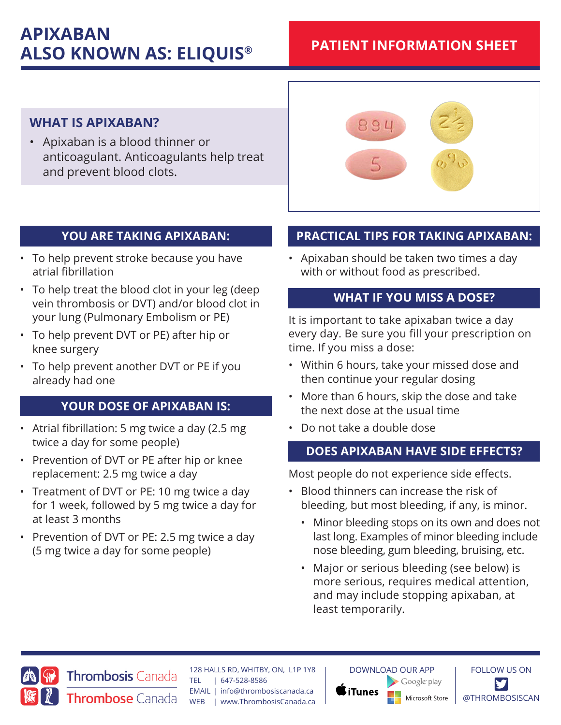# **APIXABAN ALSO KNOWN AS: ELIQUIS®**

# **PATIENT INFORMATION SHEET**

# **WHAT IS APIXABAN?**

• Apixaban is a blood thinner or anticoagulant. Anticoagulants help treat and prevent blood clots.



# **YOU ARE TAKING APIXABAN:**

- To help prevent stroke because you have atrial fibrillation
- To help treat the blood clot in your leg (deep vein thrombosis or DVT) and/or blood clot in your lung (Pulmonary Embolism or PE)
- To help prevent DVT or PE) after hip or knee surgery
- To help prevent another DVT or PE if you already had one

# **YOUR DOSE OF APIXABAN IS:**

- Atrial fibrillation: 5 mg twice a day (2.5 mg twice a day for some people)
- Prevention of DVT or PE after hip or knee replacement: 2.5 mg twice a day
- Treatment of DVT or PE: 10 mg twice a day for 1 week, followed by 5 mg twice a day for at least 3 months
- Prevention of DVT or PE: 2.5 mg twice a day (5 mg twice a day for some people)

Thrombose Canada

# **PRACTICAL TIPS FOR TAKING APIXABAN:**

• Apixaban should be taken two times a day with or without food as prescribed.

#### **WHAT IF YOU MISS A DOSE?**

It is important to take apixaban twice a day every day. Be sure you fill your prescription on time. If you miss a dose:

- Within 6 hours, take your missed dose and then continue your regular dosing
- More than 6 hours, skip the dose and take the next dose at the usual time
- Do not take a double dose

# **DOES APIXABAN HAVE SIDE EFFECTS?**

Most people do not experience side effects.

- Blood thinners can increase the risk of bleeding, but most bleeding, if any, is minor.
	- Minor bleeding stops on its own and does not last long. Examples of minor bleeding include nose bleeding, gum bleeding, bruising, etc.
	- Major or serious bleeding (see below) is more serious, requires medical attention, and may include stopping apixaban, at least temporarily.



128 HALLS RD, WHITBY, ON, L1P 1Y8 **Thrombosis Canada** TEL | 647-528-8586 EMAIL | info@thrombosiscanada.ca WEB | www.ThrombosisCanada.ca

DOWNLOAD OUR APP Google play **iTunes** Microsoft Store